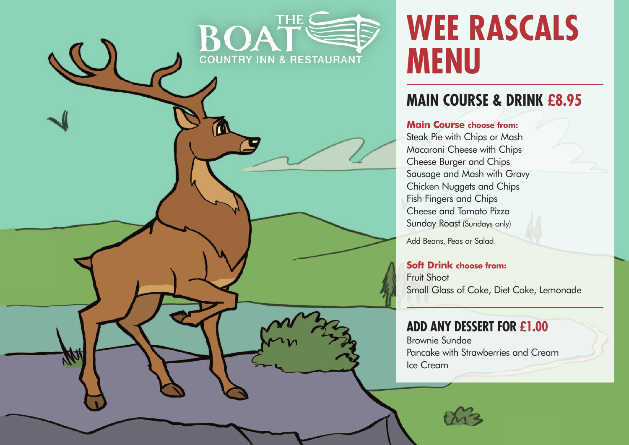# **WEE RASCALS MENU**

### **MAIN COURSE & DRINK £8.95**

#### **Main Course choose from:**

**THF** 

COUNTRY INN & RESTAURANT

KOA

Steak Pie with Chips or Mash Macaroni Cheese with Chips Cheese Burger and Chips Sausage and Mash with Gravy Chicken Nuggets and Chips Fish Fingers and Chips Cheese and Tomato Pizza Sunday Roast (Sundays only)

Add Beans, Peas or Salad

#### **Soft Drink choose from:**

Fruit Shoot Small Glass of Coke, Diet Coke, Lemonade

#### **ADD ANY DESSERT FOR £1.00**

Brownie Sundae Pancake with Strawberries and Cream Ice Cream